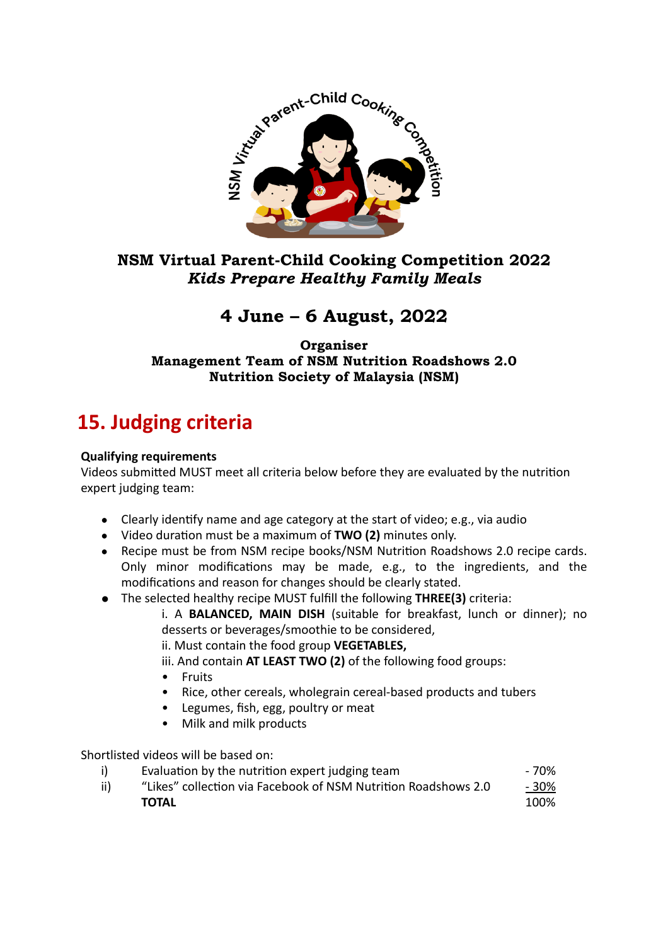

### **NSM Virtual Parent-Child Cooking Competition 2022**  *Kids Prepare Healthy Family Meals*

## **4 June – 6 August, 2022**

**Organiser Management Team of NSM Nutrition Roadshows 2.0 Nutrition Society of Malaysia (NSM)** 

# **15. Judging criteria**

#### **Qualifying requirements**

Videos submitted MUST meet all criteria below before they are evaluated by the nutrition expert judging team:

- Clearly identify name and age category at the start of video; e.g., via audio
- Video duration must be a maximum of **TWO (2)** minutes only.
- Recipe must be from NSM recipe books/NSM Nutrition Roadshows 2.0 recipe cards. Only minor modifications may be made, e.g., to the ingredients, and the modifications and reason for changes should be clearly stated.
- **•** The selected healthy recipe MUST fulfill the following THREE(3) criteria:

i. A **BALANCED, MAIN DISH** (suitable for breakfast, lunch or dinner); no desserts or beverages/smoothie to be considered,

ii. Must contain the food group **VEGETABLES.** 

iii. And contain **AT LEAST TWO (2)** of the following food groups:

- Fruits
- Rice, other cereals, wholegrain cereal-based products and tubers
- Legumes, fish, egg, poultry or meat
- Milk and milk products

Shortlisted videos will be based on:

|     | Evaluation by the nutrition expert judging team                | - 70%  |
|-----|----------------------------------------------------------------|--------|
| ii) | "Likes" collection via Facebook of NSM Nutrition Roadshows 2.0 | $-30%$ |
|     | TOTAL                                                          | 100%   |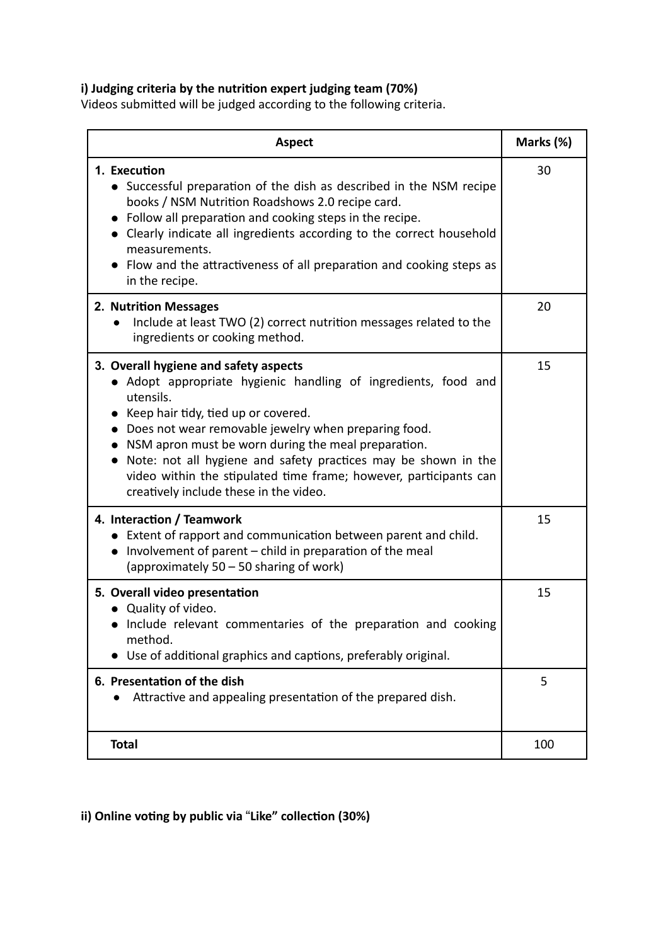### i) Judging criteria by the nutrition expert judging team (70%)

Videos submitted will be judged according to the following criteria.

| <b>Aspect</b>                                                                                                                                                                                                                                                                                                                                                                                                                                                   | Marks (%) |
|-----------------------------------------------------------------------------------------------------------------------------------------------------------------------------------------------------------------------------------------------------------------------------------------------------------------------------------------------------------------------------------------------------------------------------------------------------------------|-----------|
| 1. Execution<br>• Successful preparation of the dish as described in the NSM recipe<br>books / NSM Nutrition Roadshows 2.0 recipe card.<br>• Follow all preparation and cooking steps in the recipe.<br>• Clearly indicate all ingredients according to the correct household<br>measurements.<br>• Flow and the attractiveness of all preparation and cooking steps as<br>in the recipe.                                                                       | 30        |
| 2. Nutrition Messages<br>Include at least TWO (2) correct nutrition messages related to the<br>ingredients or cooking method.                                                                                                                                                                                                                                                                                                                                   | 20        |
| 3. Overall hygiene and safety aspects<br>• Adopt appropriate hygienic handling of ingredients, food and<br>utensils.<br>• Keep hair tidy, tied up or covered.<br>• Does not wear removable jewelry when preparing food.<br>NSM apron must be worn during the meal preparation.<br>Note: not all hygiene and safety practices may be shown in the<br>video within the stipulated time frame; however, participants can<br>creatively include these in the video. | 15        |
| 4. Interaction / Teamwork<br>• Extent of rapport and communication between parent and child.<br>• Involvement of parent – child in preparation of the meal<br>(approximately 50 – 50 sharing of work)                                                                                                                                                                                                                                                           | 15        |
| 5. Overall video presentation<br>• Quality of video.<br>• Include relevant commentaries of the preparation and cooking<br>method.<br>Use of additional graphics and captions, preferably original.                                                                                                                                                                                                                                                              | 15        |
| 6. Presentation of the dish<br>Attractive and appealing presentation of the prepared dish.                                                                                                                                                                                                                                                                                                                                                                      | 5         |
| <b>Total</b>                                                                                                                                                                                                                                                                                                                                                                                                                                                    | 100       |

ii) Online voting by public via "Like" collection (30%)